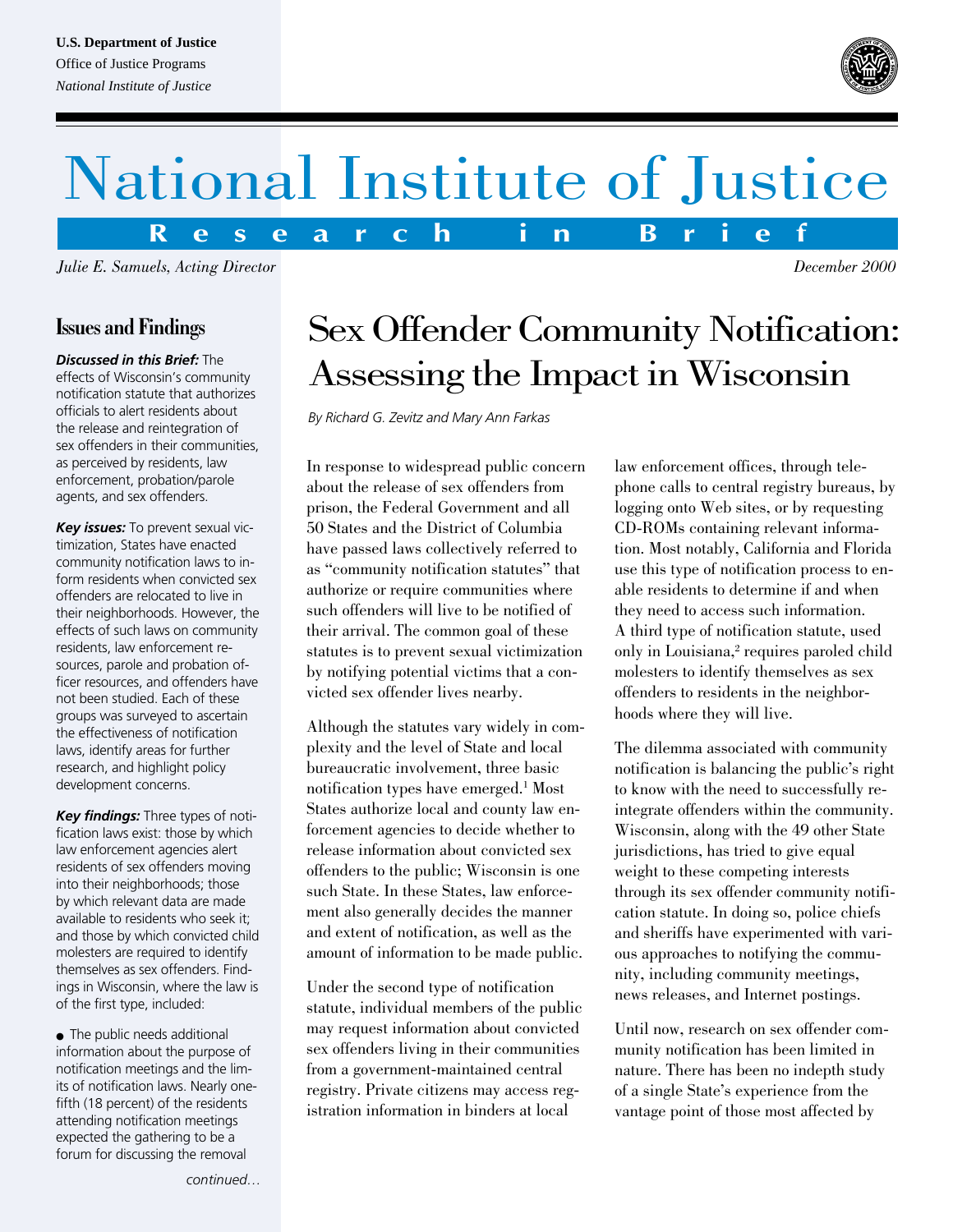#### **U.S. Department of Justice**

Office of Justice Programs *National Institute of Justice*



*December 2000*

# National Institute of Justice

**R e s e a r c h i n B r i e f**

*Julie E. Samuels, Acting Director*

# **Issues and Findings**

*Discussed in this Brief:* The effects of Wisconsin's community notification statute that authorizes officials to alert residents about the release and reintegration of sex offenders in their communities, as perceived by residents, law enforcement, probation/parole agents, and sex offenders.

*Key issues:* To prevent sexual victimization, States have enacted community notification laws to inform residents when convicted sex offenders are relocated to live in their neighborhoods. However, the effects of such laws on community residents, law enforcement resources, parole and probation officer resources, and offenders have not been studied. Each of these groups was surveyed to ascertain the effectiveness of notification laws, identify areas for further research, and highlight policy development concerns.

*Key findings:* Three types of notification laws exist: those by which law enforcement agencies alert residents of sex offenders moving into their neighborhoods; those by which relevant data are made available to residents who seek it; and those by which convicted child molesters are required to identify themselves as sex offenders. Findings in Wisconsin, where the law is of the first type, included:

• The public needs additional information about the purpose of notification meetings and the limits of notification laws. Nearly onefifth (18 percent) of the residents attending notification meetings expected the gathering to be a forum for discussing the removal

# Sex Offender Community Notification: Assessing the Impact in Wisconsin

*By Richard G. Zevitz and Mary Ann Farkas*

In response to widespread public concern about the release of sex offenders from prison, the Federal Government and all 50 States and the District of Columbia have passed laws collectively referred to as "community notification statutes" that authorize or require communities where such offenders will live to be notified of their arrival. The common goal of these statutes is to prevent sexual victimization by notifying potential victims that a convicted sex offender lives nearby.

Although the statutes vary widely in complexity and the level of State and local bureaucratic involvement, three basic notification types have emerged.1 Most States authorize local and county law enforcement agencies to decide whether to release information about convicted sex offenders to the public; Wisconsin is one such State. In these States, law enforcement also generally decides the manner and extent of notification, as well as the amount of information to be made public.

Under the second type of notification statute, individual members of the public may request information about convicted sex offenders living in their communities from a government-maintained central registry. Private citizens may access registration information in binders at local

law enforcement offices, through telephone calls to central registry bureaus, by logging onto Web sites, or by requesting CD-ROMs containing relevant information. Most notably, California and Florida use this type of notification process to enable residents to determine if and when they need to access such information. A third type of notification statute, used only in Louisiana,<sup>2</sup> requires paroled child molesters to identify themselves as sex offenders to residents in the neighborhoods where they will live.

The dilemma associated with community notification is balancing the public's right to know with the need to successfully reintegrate offenders within the community. Wisconsin, along with the 49 other State jurisdictions, has tried to give equal weight to these competing interests through its sex offender community notification statute. In doing so, police chiefs and sheriffs have experimented with various approaches to notifying the community, including community meetings, news releases, and Internet postings.

Until now, research on sex offender community notification has been limited in nature. There has been no indepth study of a single State's experience from the vantage point of those most affected by

*continued…*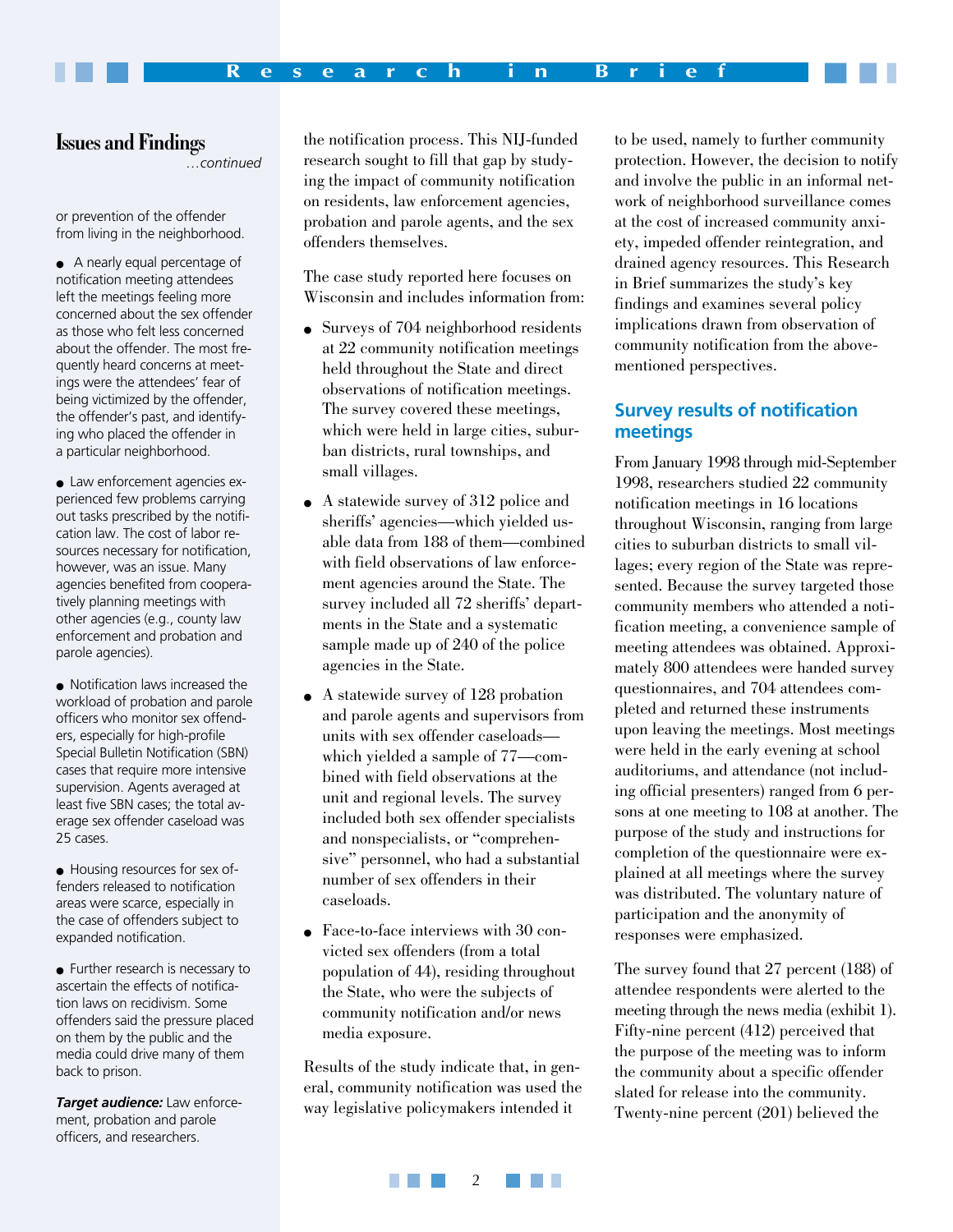#### **Issues and Findings**

*…continued*

or prevention of the offender from living in the neighborhood.

- A nearly equal percentage of notification meeting attendees left the meetings feeling more concerned about the sex offender as those who felt less concerned about the offender. The most frequently heard concerns at meetings were the attendees' fear of being victimized by the offender, the offender's past, and identifying who placed the offender in a particular neighborhood.
- Law enforcement agencies experienced few problems carrying out tasks prescribed by the notification law. The cost of labor resources necessary for notification, however, was an issue. Many agencies benefited from cooperatively planning meetings with other agencies (e.g., county law enforcement and probation and parole agencies).
- Notification laws increased the workload of probation and parole officers who monitor sex offenders, especially for high-profile Special Bulletin Notification (SBN) cases that require more intensive supervision. Agents averaged at least five SBN cases; the total average sex offender caseload was 25 cases.
- Housing resources for sex offenders released to notification areas were scarce, especially in the case of offenders subject to expanded notification.
- Further research is necessary to ascertain the effects of notification laws on recidivism. Some offenders said the pressure placed on them by the public and the media could drive many of them back to prison.

*Target audience:* Law enforcement, probation and parole officers, and researchers.

the notification process. This NIJ-funded research sought to fill that gap by studying the impact of community notification on residents, law enforcement agencies, probation and parole agents, and the sex offenders themselves.

The case study reported here focuses on Wisconsin and includes information from:

- Surveys of 704 neighborhood residents at 22 community notification meetings held throughout the State and direct observations of notification meetings. The survey covered these meetings, which were held in large cities, suburban districts, rural townships, and small villages.
- A statewide survey of 312 police and sheriffs' agencies—which yielded usable data from 188 of them—combined with field observations of law enforcement agencies around the State. The survey included all 72 sheriffs' departments in the State and a systematic sample made up of 240 of the police agencies in the State.
- A statewide survey of 128 probation and parole agents and supervisors from units with sex offender caseloads which yielded a sample of 77—combined with field observations at the unit and regional levels. The survey included both sex offender specialists and nonspecialists, or "comprehensive" personnel, who had a substantial number of sex offenders in their caseloads.
- Face-to-face interviews with 30 convicted sex offenders (from a total population of 44), residing throughout the State, who were the subjects of community notification and/or news media exposure.

Results of the study indicate that, in general, community notification was used the way legislative policymakers intended it

to be used, namely to further community protection. However, the decision to notify and involve the public in an informal network of neighborhood surveillance comes at the cost of increased community anxiety, impeded offender reintegration, and drained agency resources. This Research in Brief summarizes the study's key findings and examines several policy implications drawn from observation of community notification from the abovementioned perspectives.

## **Survey results of notification meetings**

From January 1998 through mid-September 1998, researchers studied 22 community notification meetings in 16 locations throughout Wisconsin, ranging from large cities to suburban districts to small villages; every region of the State was represented. Because the survey targeted those community members who attended a notification meeting, a convenience sample of meeting attendees was obtained. Approximately 800 attendees were handed survey questionnaires, and 704 attendees completed and returned these instruments upon leaving the meetings. Most meetings were held in the early evening at school auditoriums, and attendance (not including official presenters) ranged from 6 persons at one meeting to 108 at another. The purpose of the study and instructions for completion of the questionnaire were explained at all meetings where the survey was distributed. The voluntary nature of participation and the anonymity of responses were emphasized.

The survey found that 27 percent (188) of attendee respondents were alerted to the meeting through the news media (exhibit 1). Fifty-nine percent (412) perceived that the purpose of the meeting was to inform the community about a specific offender slated for release into the community. Twenty-nine percent (201) believed the

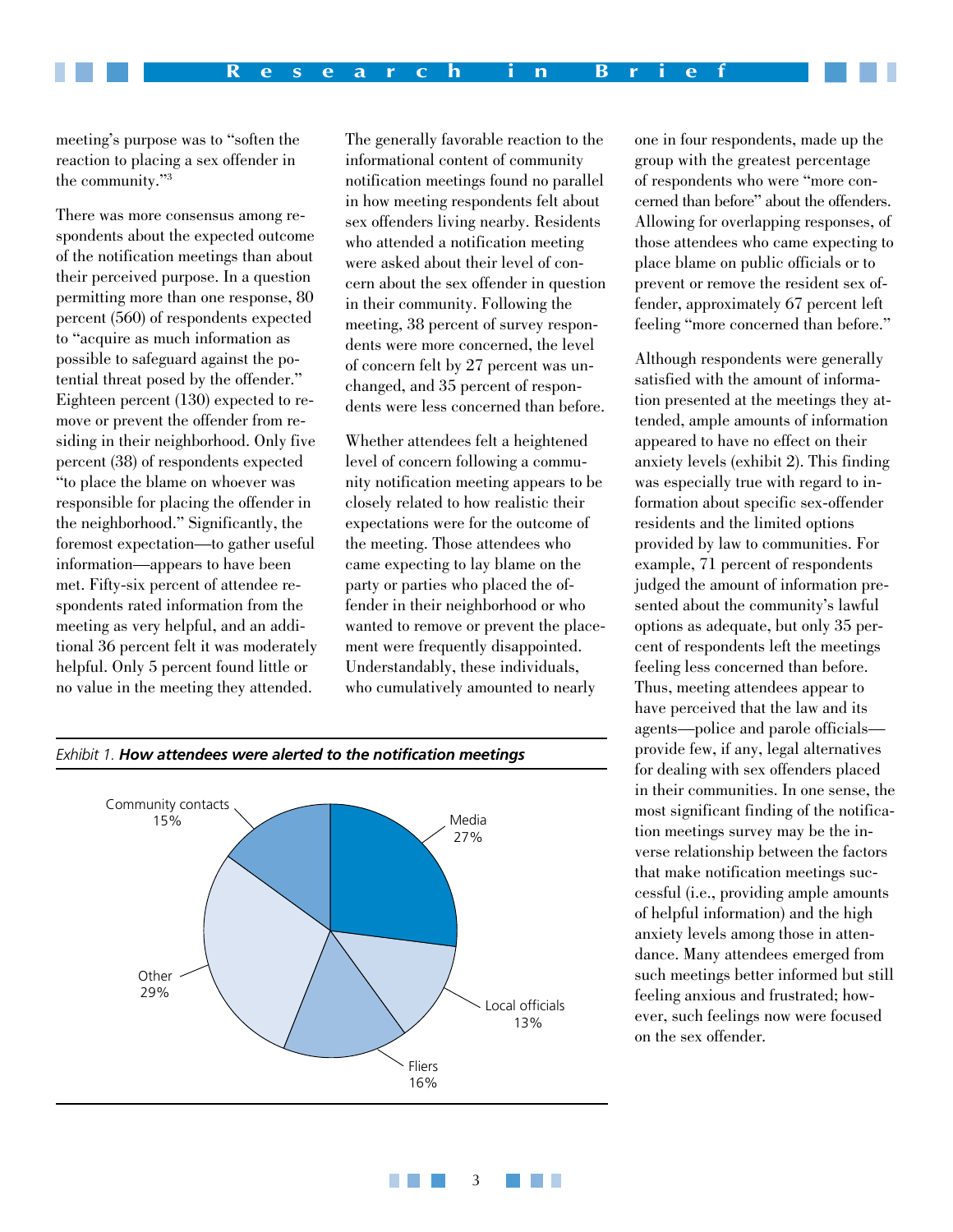meeting's purpose was to "soften the reaction to placing a sex offender in the community."3

There was more consensus among respondents about the expected outcome of the notification meetings than about their perceived purpose. In a question permitting more than one response, 80 percent (560) of respondents expected to "acquire as much information as possible to safeguard against the potential threat posed by the offender." Eighteen percent (130) expected to remove or prevent the offender from residing in their neighborhood. Only five percent (38) of respondents expected "to place the blame on whoever was responsible for placing the offender in the neighborhood." Significantly, the foremost expectation—to gather useful information—appears to have been met. Fifty-six percent of attendee respondents rated information from the meeting as very helpful, and an additional 36 percent felt it was moderately helpful. Only 5 percent found little or no value in the meeting they attended.

The generally favorable reaction to the informational content of community notification meetings found no parallel in how meeting respondents felt about sex offenders living nearby. Residents who attended a notification meeting were asked about their level of concern about the sex offender in question in their community. Following the meeting, 38 percent of survey respondents were more concerned, the level of concern felt by 27 percent was unchanged, and 35 percent of respondents were less concerned than before.

Whether attendees felt a heightened level of concern following a community notification meeting appears to be closely related to how realistic their expectations were for the outcome of the meeting. Those attendees who came expecting to lay blame on the party or parties who placed the offender in their neighborhood or who wanted to remove or prevent the placement were frequently disappointed. Understandably, these individuals, who cumulatively amounted to nearly

3

an an

**TELE** 

one in four respondents, made up the group with the greatest percentage of respondents who were "more concerned than before" about the offenders. Allowing for overlapping responses, of those attendees who came expecting to place blame on public officials or to prevent or remove the resident sex offender, approximately 67 percent left feeling "more concerned than before."

Although respondents were generally satisfied with the amount of information presented at the meetings they attended, ample amounts of information appeared to have no effect on their anxiety levels (exhibit 2). This finding was especially true with regard to information about specific sex-offender residents and the limited options provided by law to communities. For example, 71 percent of respondents judged the amount of information presented about the community's lawful options as adequate, but only 35 percent of respondents left the meetings feeling less concerned than before. Thus, meeting attendees appear to have perceived that the law and its agents—police and parole officials provide few, if any, legal alternatives for dealing with sex offenders placed in their communities. In one sense, the most significant finding of the notification meetings survey may be the inverse relationship between the factors that make notification meetings successful (i.e., providing ample amounts of helpful information) and the high anxiety levels among those in attendance. Many attendees emerged from such meetings better informed but still feeling anxious and frustrated; however, such feelings now were focused on the sex offender.

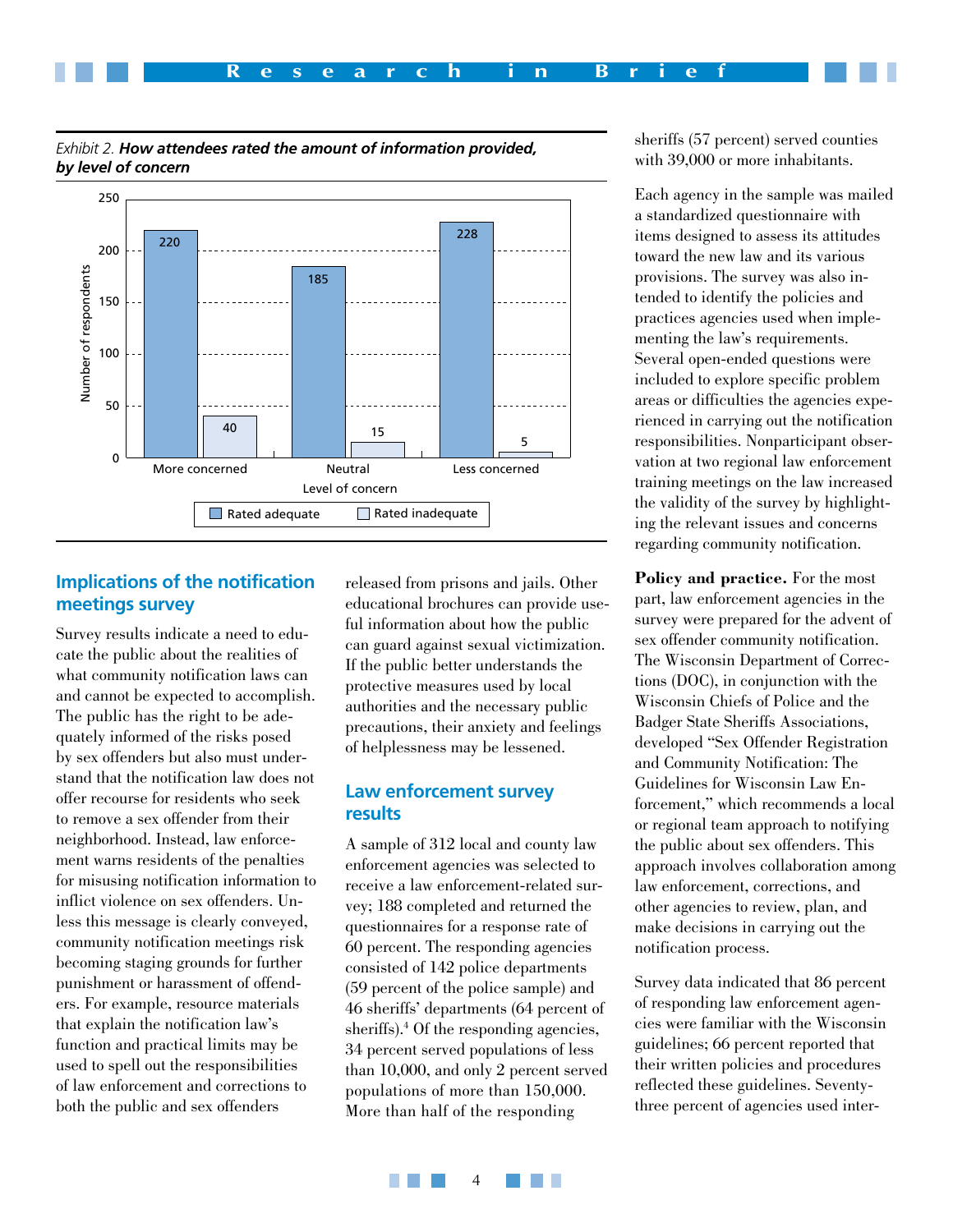

#### *Exhibit 2. How attendees rated the amount of information provided, by level of concern*

# **Implications of the notification meetings survey**

Survey results indicate a need to educate the public about the realities of what community notification laws can and cannot be expected to accomplish. The public has the right to be adequately informed of the risks posed by sex offenders but also must understand that the notification law does not offer recourse for residents who seek to remove a sex offender from their neighborhood. Instead, law enforcement warns residents of the penalties for misusing notification information to inflict violence on sex offenders. Unless this message is clearly conveyed, community notification meetings risk becoming staging grounds for further punishment or harassment of offenders. For example, resource materials that explain the notification law's function and practical limits may be used to spell out the responsibilities of law enforcement and corrections to both the public and sex offenders

released from prisons and jails. Other educational brochures can provide useful information about how the public can guard against sexual victimization. If the public better understands the protective measures used by local authorities and the necessary public precautions, their anxiety and feelings of helplessness may be lessened.

#### **Law enforcement survey results**

A sample of 312 local and county law enforcement agencies was selected to receive a law enforcement-related survey; 188 completed and returned the questionnaires for a response rate of 60 percent. The responding agencies consisted of 142 police departments (59 percent of the police sample) and 46 sheriffs' departments (64 percent of sheriffs).<sup>4</sup> Of the responding agencies, 34 percent served populations of less than 10,000, and only 2 percent served populations of more than 150,000. More than half of the responding

sheriffs (57 percent) served counties with 39,000 or more inhabitants.

Each agency in the sample was mailed a standardized questionnaire with items designed to assess its attitudes toward the new law and its various provisions. The survey was also intended to identify the policies and practices agencies used when implementing the law's requirements. Several open-ended questions were included to explore specific problem areas or difficulties the agencies experienced in carrying out the notification responsibilities. Nonparticipant observation at two regional law enforcement training meetings on the law increased the validity of the survey by highlighting the relevant issues and concerns regarding community notification.

**Policy and practice.** For the most part, law enforcement agencies in the survey were prepared for the advent of sex offender community notification. The Wisconsin Department of Corrections (DOC), in conjunction with the Wisconsin Chiefs of Police and the Badger State Sheriffs Associations, developed "Sex Offender Registration and Community Notification: The Guidelines for Wisconsin Law Enforcement," which recommends a local or regional team approach to notifying the public about sex offenders. This approach involves collaboration among law enforcement, corrections, and other agencies to review, plan, and make decisions in carrying out the notification process.

Survey data indicated that 86 percent of responding law enforcement agencies were familiar with the Wisconsin guidelines; 66 percent reported that their written policies and procedures reflected these guidelines. Seventythree percent of agencies used inter-

 $\overline{\mathbf{A}}$ **TELE Contract**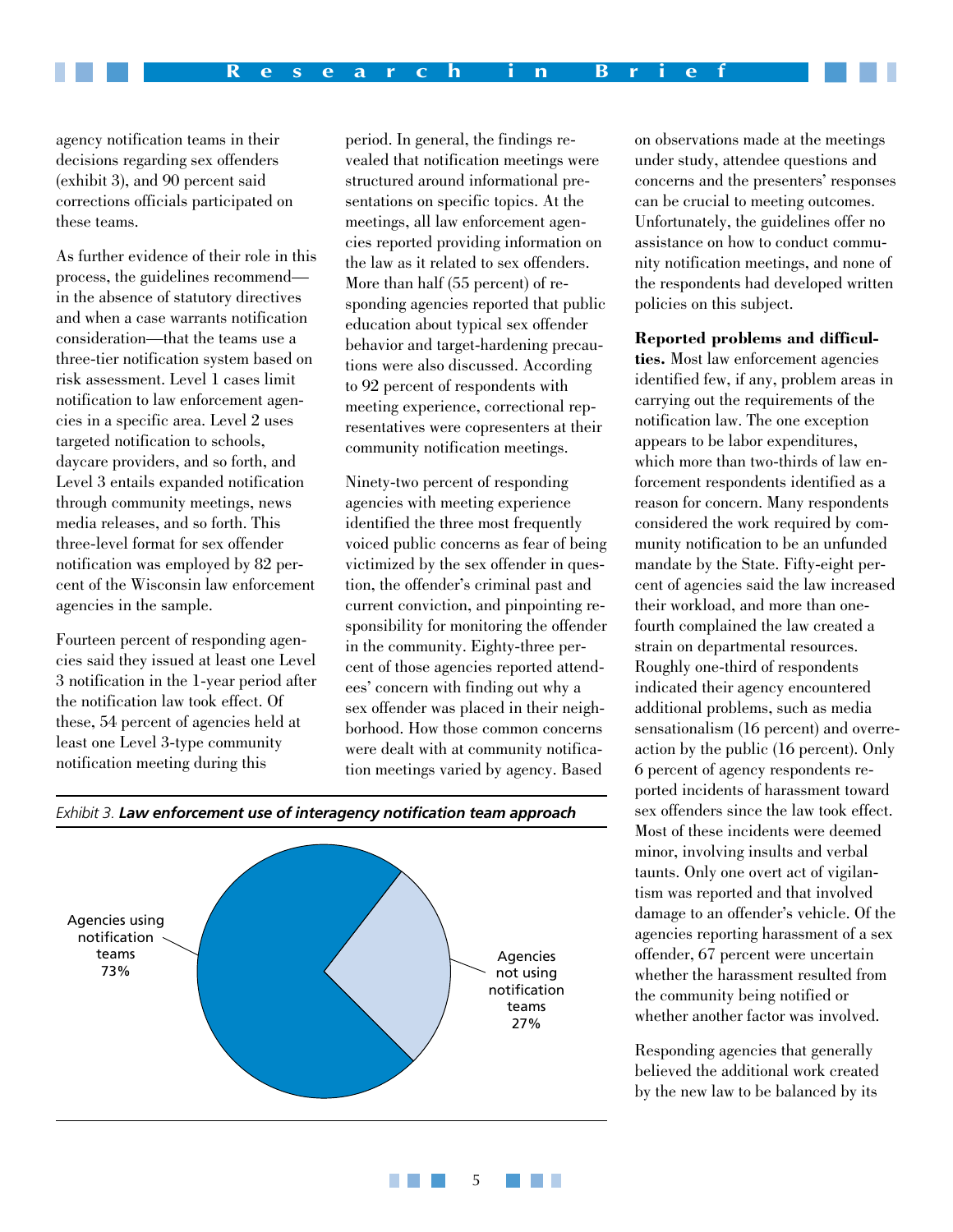agency notification teams in their decisions regarding sex offenders (exhibit 3), and 90 percent said corrections officials participated on these teams.

As further evidence of their role in this process, the guidelines recommend in the absence of statutory directives and when a case warrants notification consideration—that the teams use a three-tier notification system based on risk assessment. Level 1 cases limit notification to law enforcement agencies in a specific area. Level 2 uses targeted notification to schools, daycare providers, and so forth, and Level 3 entails expanded notification through community meetings, news media releases, and so forth. This three-level format for sex offender notification was employed by 82 percent of the Wisconsin law enforcement agencies in the sample.

Fourteen percent of responding agencies said they issued at least one Level 3 notification in the 1-year period after the notification law took effect. Of these, 54 percent of agencies held at least one Level 3-type community notification meeting during this

period. In general, the findings revealed that notification meetings were structured around informational presentations on specific topics. At the meetings, all law enforcement agencies reported providing information on the law as it related to sex offenders. More than half (55 percent) of responding agencies reported that public education about typical sex offender behavior and target-hardening precautions were also discussed. According to 92 percent of respondents with meeting experience, correctional representatives were copresenters at their community notification meetings.

Ninety-two percent of responding agencies with meeting experience identified the three most frequently voiced public concerns as fear of being victimized by the sex offender in question, the offender's criminal past and current conviction, and pinpointing responsibility for monitoring the offender in the community. Eighty-three percent of those agencies reported attendees' concern with finding out why a sex offender was placed in their neighborhood. How those common concerns were dealt with at community notification meetings varied by agency. Based

5

an an

п

on observations made at the meetings under study, attendee questions and concerns and the presenters' responses can be crucial to meeting outcomes. Unfortunately, the guidelines offer no assistance on how to conduct community notification meetings, and none of the respondents had developed written policies on this subject.

#### **Reported problems and difficul-**

**ties.** Most law enforcement agencies identified few, if any, problem areas in carrying out the requirements of the notification law. The one exception appears to be labor expenditures, which more than two-thirds of law enforcement respondents identified as a reason for concern. Many respondents considered the work required by community notification to be an unfunded mandate by the State. Fifty-eight percent of agencies said the law increased their workload, and more than onefourth complained the law created a strain on departmental resources. Roughly one-third of respondents indicated their agency encountered additional problems, such as media sensationalism (16 percent) and overreaction by the public (16 percent). Only 6 percent of agency respondents reported incidents of harassment toward sex offenders since the law took effect. Most of these incidents were deemed minor, involving insults and verbal taunts. Only one overt act of vigilantism was reported and that involved damage to an offender's vehicle. Of the agencies reporting harassment of a sex offender, 67 percent were uncertain whether the harassment resulted from the community being notified or whether another factor was involved.

Responding agencies that generally believed the additional work created by the new law to be balanced by its



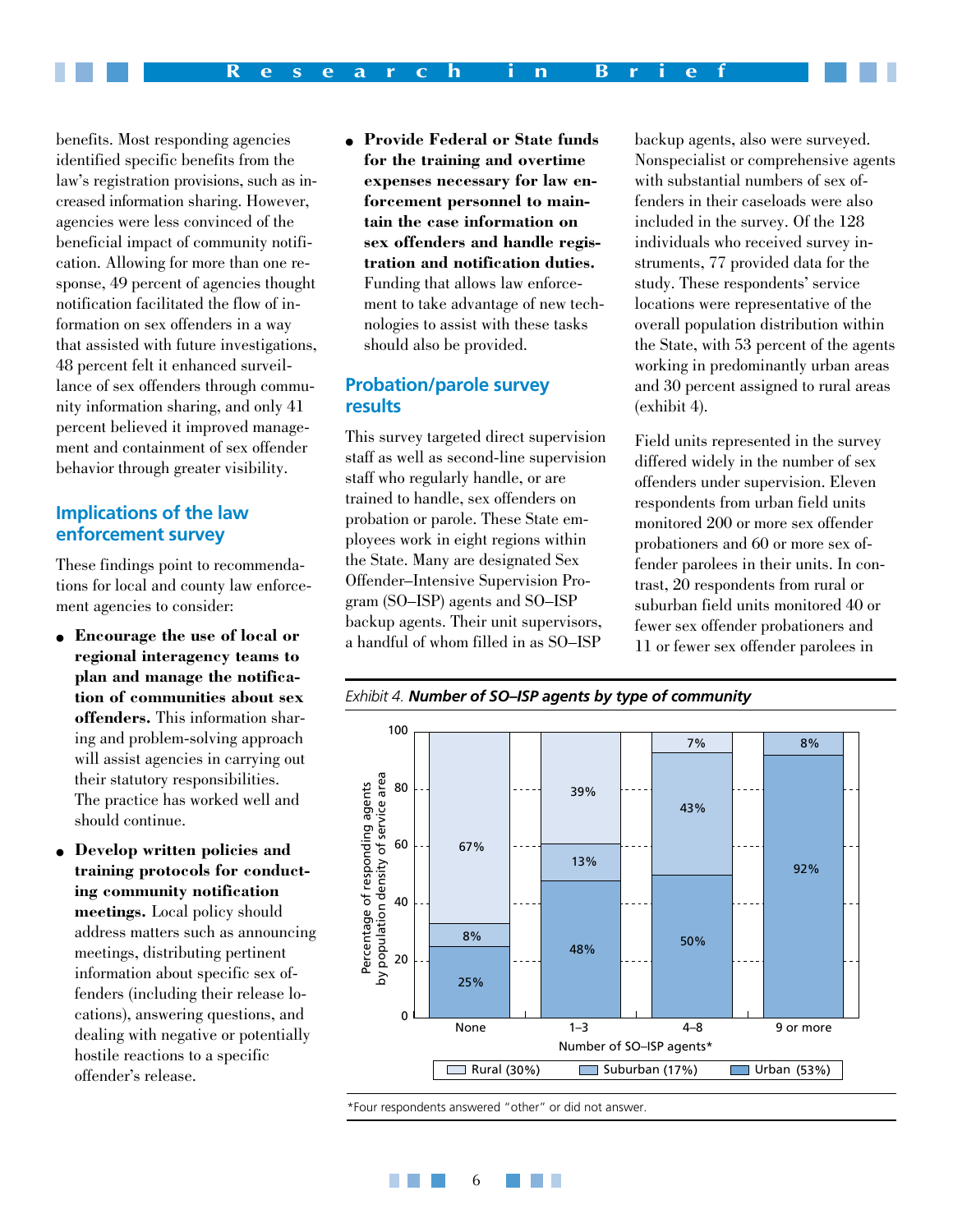benefits. Most responding agencies identified specific benefits from the law's registration provisions, such as increased information sharing. However, agencies were less convinced of the beneficial impact of community notification. Allowing for more than one response, 49 percent of agencies thought notification facilitated the flow of information on sex offenders in a way that assisted with future investigations, 48 percent felt it enhanced surveillance of sex offenders through community information sharing, and only 41 percent believed it improved management and containment of sex offender behavior through greater visibility.

#### **Implications of the law enforcement survey**

These findings point to recommendations for local and county law enforcement agencies to consider:

- **Encourage the use of local or regional interagency teams to plan and manage the notification of communities about sex offenders.** This information sharing and problem-solving approach will assist agencies in carrying out their statutory responsibilities. The practice has worked well and should continue.
- **Develop written policies and training protocols for conducting community notification meetings.** Local policy should address matters such as announcing meetings, distributing pertinent information about specific sex offenders (including their release locations), answering questions, and dealing with negative or potentially hostile reactions to a specific offender's release.

● **Provide Federal or State funds for the training and overtime expenses necessary for law enforcement personnel to maintain the case information on sex offenders and handle registration and notification duties.** Funding that allows law enforcement to take advantage of new technologies to assist with these tasks should also be provided.

#### **Probation/parole survey results**

This survey targeted direct supervision staff as well as second-line supervision staff who regularly handle, or are trained to handle, sex offenders on probation or parole. These State employees work in eight regions within the State. Many are designated Sex Offender–Intensive Supervision Program (SO–ISP) agents and SO–ISP backup agents. Their unit supervisors, a handful of whom filled in as SO–ISP

backup agents, also were surveyed. Nonspecialist or comprehensive agents with substantial numbers of sex offenders in their caseloads were also included in the survey. Of the 128 individuals who received survey instruments, 77 provided data for the study. These respondents' service locations were representative of the overall population distribution within the State, with 53 percent of the agents working in predominantly urban areas and 30 percent assigned to rural areas (exhibit 4).

Field units represented in the survey differed widely in the number of sex offenders under supervision. Eleven respondents from urban field units monitored 200 or more sex offender probationers and 60 or more sex offender parolees in their units. In contrast, 20 respondents from rural or suburban field units monitored 40 or fewer sex offender probationers and 11 or fewer sex offender parolees in





\*Four respondents answered "other" or did not answer.

**TELE** 

6

**The Company**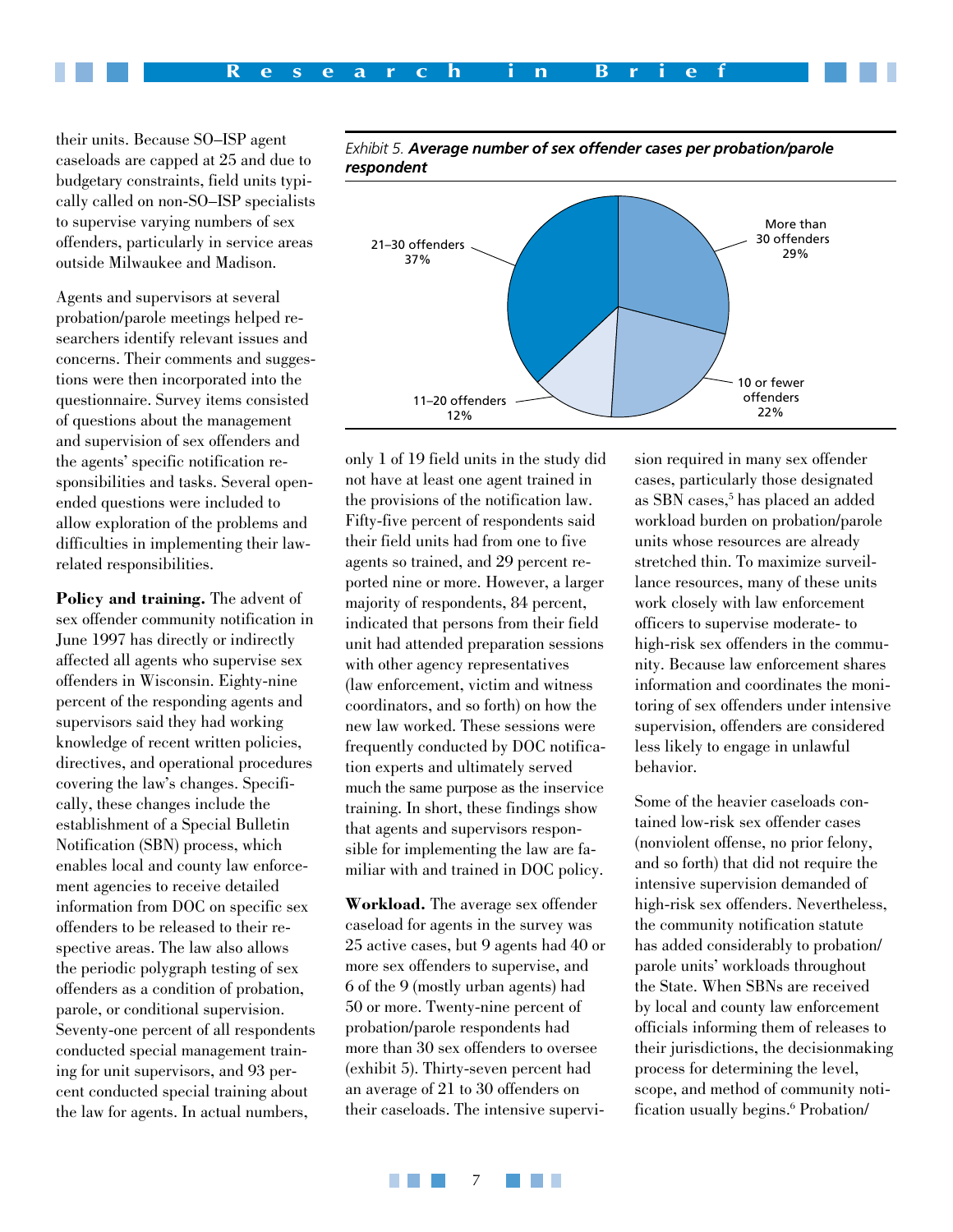

their units. Because SO–ISP agent caseloads are capped at 25 and due to budgetary constraints, field units typically called on non-SO–ISP specialists to supervise varying numbers of sex offenders, particularly in service areas outside Milwaukee and Madison.

Agents and supervisors at several probation/parole meetings helped researchers identify relevant issues and concerns. Their comments and suggestions were then incorporated into the questionnaire. Survey items consisted of questions about the management and supervision of sex offenders and the agents' specific notification responsibilities and tasks. Several openended questions were included to allow exploration of the problems and difficulties in implementing their lawrelated responsibilities.

**Policy and training.** The advent of sex offender community notification in June 1997 has directly or indirectly affected all agents who supervise sex offenders in Wisconsin. Eighty-nine percent of the responding agents and supervisors said they had working knowledge of recent written policies, directives, and operational procedures covering the law's changes. Specifically, these changes include the establishment of a Special Bulletin Notification (SBN) process, which enables local and county law enforcement agencies to receive detailed information from DOC on specific sex offenders to be released to their respective areas. The law also allows the periodic polygraph testing of sex offenders as a condition of probation, parole, or conditional supervision. Seventy-one percent of all respondents conducted special management training for unit supervisors, and 93 percent conducted special training about the law for agents. In actual numbers,



*Exhibit 5. Average number of sex offender cases per probation/parole respondent*

only 1 of 19 field units in the study did not have at least one agent trained in the provisions of the notification law. Fifty-five percent of respondents said their field units had from one to five agents so trained, and 29 percent reported nine or more. However, a larger majority of respondents, 84 percent, indicated that persons from their field unit had attended preparation sessions with other agency representatives (law enforcement, victim and witness coordinators, and so forth) on how the new law worked. These sessions were frequently conducted by DOC notification experts and ultimately served much the same purpose as the inservice training. In short, these findings show that agents and supervisors responsible for implementing the law are familiar with and trained in DOC policy.

**Workload.** The average sex offender caseload for agents in the survey was 25 active cases, but 9 agents had 40 or more sex offenders to supervise, and 6 of the 9 (mostly urban agents) had 50 or more. Twenty-nine percent of probation/parole respondents had more than 30 sex offenders to oversee (exhibit 5). Thirty-seven percent had an average of 21 to 30 offenders on their caseloads. The intensive supervision required in many sex offender cases, particularly those designated as SBN cases,<sup>5</sup> has placed an added workload burden on probation/parole units whose resources are already stretched thin. To maximize surveillance resources, many of these units work closely with law enforcement officers to supervise moderate- to high-risk sex offenders in the community. Because law enforcement shares information and coordinates the monitoring of sex offenders under intensive supervision, offenders are considered less likely to engage in unlawful behavior.

Some of the heavier caseloads contained low-risk sex offender cases (nonviolent offense, no prior felony, and so forth) that did not require the intensive supervision demanded of high-risk sex offenders. Nevertheless, the community notification statute has added considerably to probation/ parole units' workloads throughout the State. When SBNs are received by local and county law enforcement officials informing them of releases to their jurisdictions, the decisionmaking process for determining the level, scope, and method of community notification usually begins.<sup>6</sup> Probation/

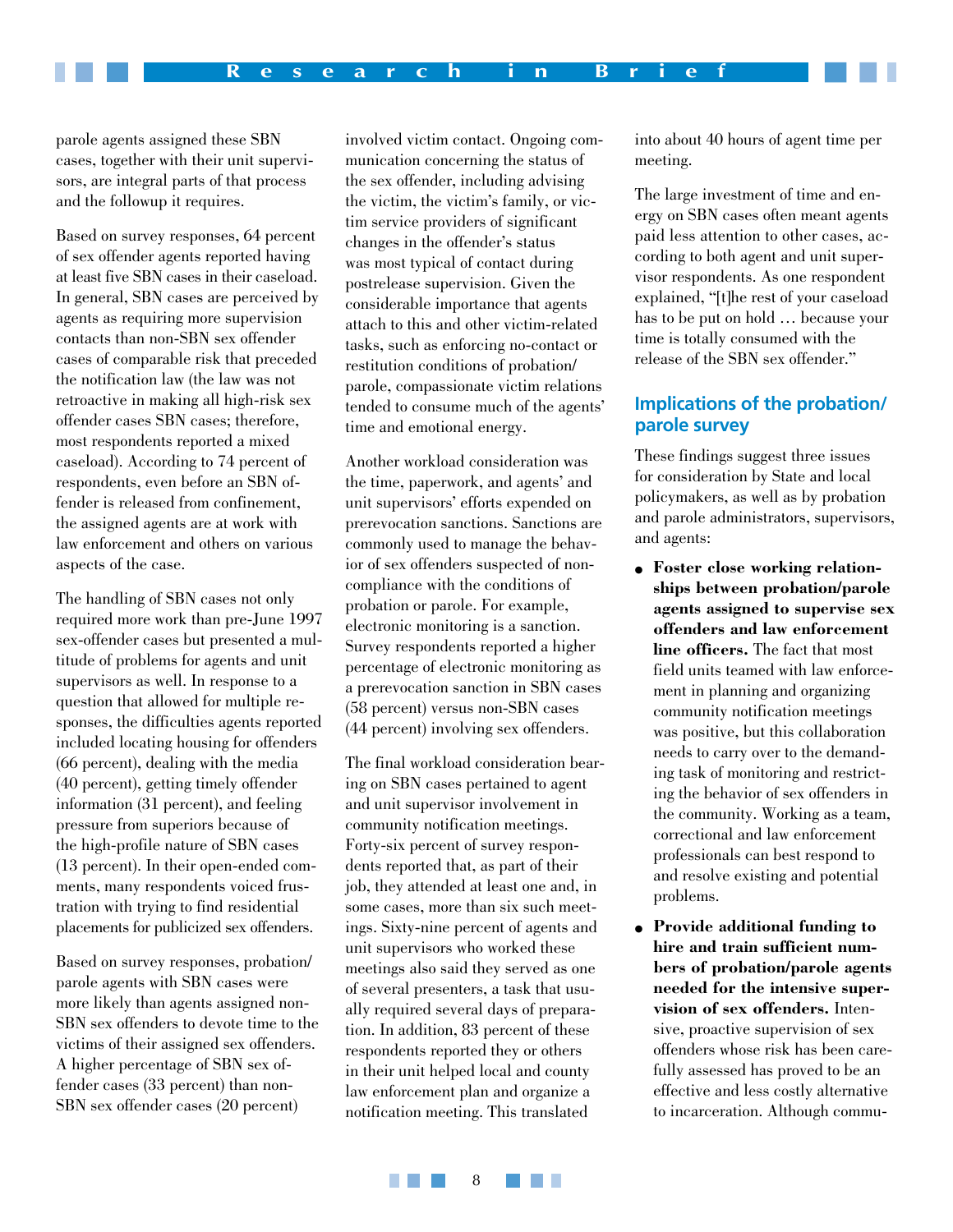parole agents assigned these SBN cases, together with their unit supervisors, are integral parts of that process and the followup it requires.

Based on survey responses, 64 percent of sex offender agents reported having at least five SBN cases in their caseload. In general, SBN cases are perceived by agents as requiring more supervision contacts than non-SBN sex offender cases of comparable risk that preceded the notification law (the law was not retroactive in making all high-risk sex offender cases SBN cases; therefore, most respondents reported a mixed caseload). According to 74 percent of respondents, even before an SBN offender is released from confinement, the assigned agents are at work with law enforcement and others on various aspects of the case.

The handling of SBN cases not only required more work than pre-June 1997 sex-offender cases but presented a multitude of problems for agents and unit supervisors as well. In response to a question that allowed for multiple responses, the difficulties agents reported included locating housing for offenders (66 percent), dealing with the media (40 percent), getting timely offender information (31 percent), and feeling pressure from superiors because of the high-profile nature of SBN cases (13 percent). In their open-ended comments, many respondents voiced frustration with trying to find residential placements for publicized sex offenders.

Based on survey responses, probation/ parole agents with SBN cases were more likely than agents assigned non-SBN sex offenders to devote time to the victims of their assigned sex offenders. A higher percentage of SBN sex offender cases (33 percent) than non-SBN sex offender cases (20 percent)

involved victim contact. Ongoing communication concerning the status of the sex offender, including advising the victim, the victim's family, or victim service providers of significant changes in the offender's status was most typical of contact during postrelease supervision. Given the considerable importance that agents attach to this and other victim-related tasks, such as enforcing no-contact or restitution conditions of probation/ parole, compassionate victim relations tended to consume much of the agents' time and emotional energy.

Another workload consideration was the time, paperwork, and agents' and unit supervisors' efforts expended on prerevocation sanctions. Sanctions are commonly used to manage the behavior of sex offenders suspected of noncompliance with the conditions of probation or parole. For example, electronic monitoring is a sanction. Survey respondents reported a higher percentage of electronic monitoring as a prerevocation sanction in SBN cases (58 percent) versus non-SBN cases (44 percent) involving sex offenders.

The final workload consideration bearing on SBN cases pertained to agent and unit supervisor involvement in community notification meetings. Forty-six percent of survey respondents reported that, as part of their job, they attended at least one and, in some cases, more than six such meetings. Sixty-nine percent of agents and unit supervisors who worked these meetings also said they served as one of several presenters, a task that usually required several days of preparation. In addition, 83 percent of these respondents reported they or others in their unit helped local and county law enforcement plan and organize a notification meeting. This translated

into about 40 hours of agent time per meeting.

The large investment of time and energy on SBN cases often meant agents paid less attention to other cases, according to both agent and unit supervisor respondents. As one respondent explained, "[t]he rest of your caseload has to be put on hold … because your time is totally consumed with the release of the SBN sex offender."

# **Implications of the probation/ parole survey**

These findings suggest three issues for consideration by State and local policymakers, as well as by probation and parole administrators, supervisors, and agents:

- **Foster close working relationships between probation/parole agents assigned to supervise sex offenders and law enforcement line officers.** The fact that most field units teamed with law enforcement in planning and organizing community notification meetings was positive, but this collaboration needs to carry over to the demanding task of monitoring and restricting the behavior of sex offenders in the community. Working as a team, correctional and law enforcement professionals can best respond to and resolve existing and potential problems.
- **Provide additional funding to hire and train sufficient numbers of probation/parole agents needed for the intensive supervision of sex offenders.** Intensive, proactive supervision of sex offenders whose risk has been carefully assessed has proved to be an effective and less costly alternative to incarceration. Although commu-

**The Contract** <u> Barat Ba</u> 8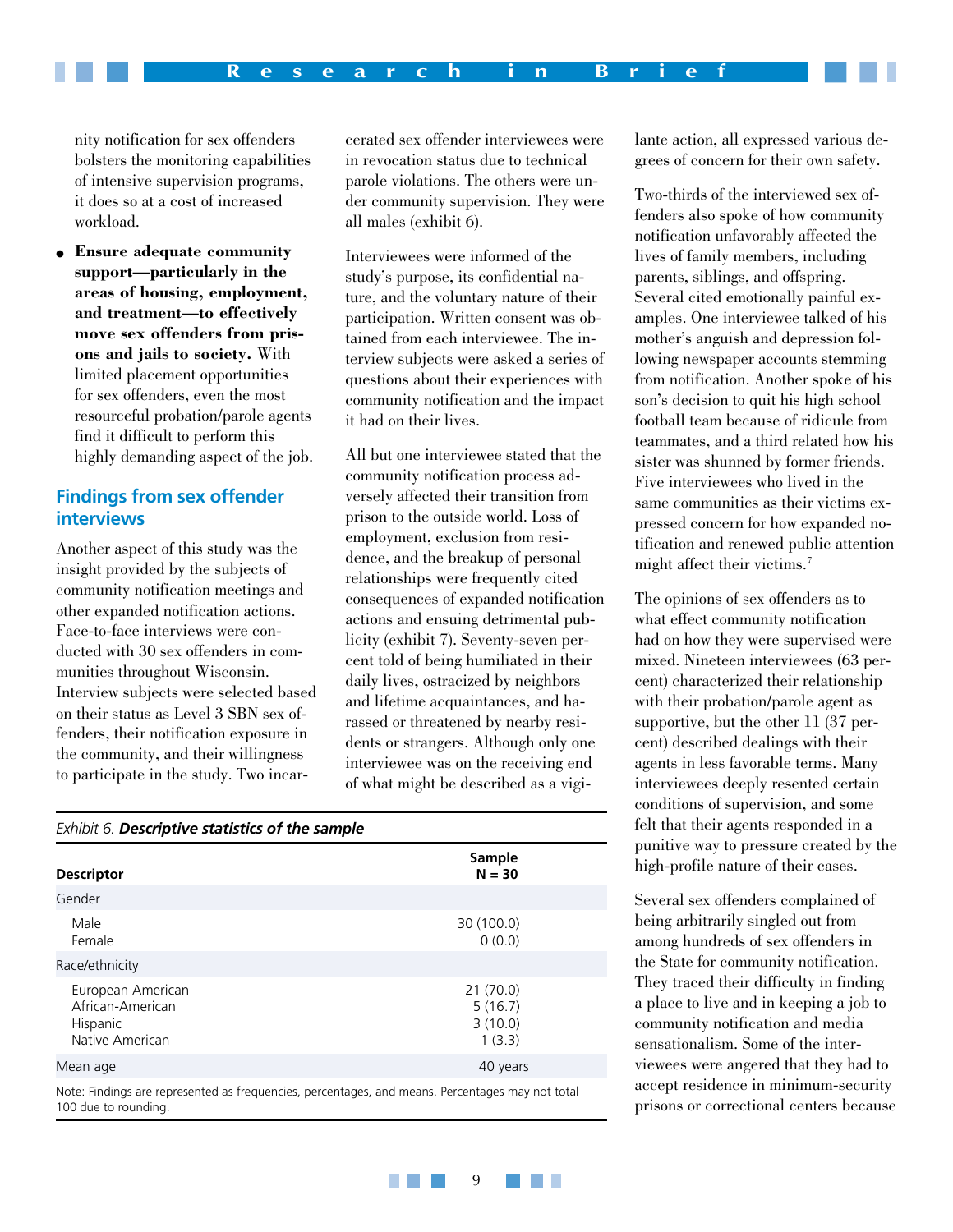nity notification for sex offenders bolsters the monitoring capabilities of intensive supervision programs, it does so at a cost of increased workload.

● **Ensure adequate community support—particularly in the areas of housing, employment, and treatment—to effectively move sex offenders from prisons and jails to society.** With limited placement opportunities for sex offenders, even the most resourceful probation/parole agents find it difficult to perform this highly demanding aspect of the job.

#### **Findings from sex offender interviews**

Another aspect of this study was the insight provided by the subjects of community notification meetings and other expanded notification actions. Face-to-face interviews were conducted with 30 sex offenders in communities throughout Wisconsin. Interview subjects were selected based on their status as Level 3 SBN sex offenders, their notification exposure in the community, and their willingness to participate in the study. Two incarcerated sex offender interviewees were in revocation status due to technical parole violations. The others were under community supervision. They were all males (exhibit 6).

Interviewees were informed of the study's purpose, its confidential nature, and the voluntary nature of their participation. Written consent was obtained from each interviewee. The interview subjects were asked a series of questions about their experiences with community notification and the impact it had on their lives.

All but one interviewee stated that the community notification process adversely affected their transition from prison to the outside world. Loss of employment, exclusion from residence, and the breakup of personal relationships were frequently cited consequences of expanded notification actions and ensuing detrimental publicity (exhibit 7). Seventy-seven percent told of being humiliated in their daily lives, ostracized by neighbors and lifetime acquaintances, and harassed or threatened by nearby residents or strangers. Although only one interviewee was on the receiving end of what might be described as a vigi-

#### *Exhibit 6. Descriptive statistics of the sample*

| <b>Descriptor</b>                                                    | Sample<br>$N = 30$                       |
|----------------------------------------------------------------------|------------------------------------------|
| Gender                                                               |                                          |
| Male<br>Female                                                       | 30 (100.0)<br>0(0.0)                     |
| Race/ethnicity                                                       |                                          |
| European American<br>African-American<br>Hispanic<br>Native American | 21(70.0)<br>5(16.7)<br>3(10.0)<br>1(3.3) |
| Mean age                                                             | 40 years                                 |

Note: Findings are represented as frequencies, percentages, and means. Percentages may not total 100 due to rounding.

lante action, all expressed various degrees of concern for their own safety.

Two-thirds of the interviewed sex offenders also spoke of how community notification unfavorably affected the lives of family members, including parents, siblings, and offspring. Several cited emotionally painful examples. One interviewee talked of his mother's anguish and depression following newspaper accounts stemming from notification. Another spoke of his son's decision to quit his high school football team because of ridicule from teammates, and a third related how his sister was shunned by former friends. Five interviewees who lived in the same communities as their victims expressed concern for how expanded notification and renewed public attention might affect their victims.<sup>7</sup>

The opinions of sex offenders as to what effect community notification had on how they were supervised were mixed. Nineteen interviewees (63 percent) characterized their relationship with their probation/parole agent as supportive, but the other 11 (37 percent) described dealings with their agents in less favorable terms. Many interviewees deeply resented certain conditions of supervision, and some felt that their agents responded in a punitive way to pressure created by the high-profile nature of their cases.

Several sex offenders complained of being arbitrarily singled out from among hundreds of sex offenders in the State for community notification. They traced their difficulty in finding a place to live and in keeping a job to community notification and media sensationalism. Some of the interviewees were angered that they had to accept residence in minimum-security prisons or correctional centers because

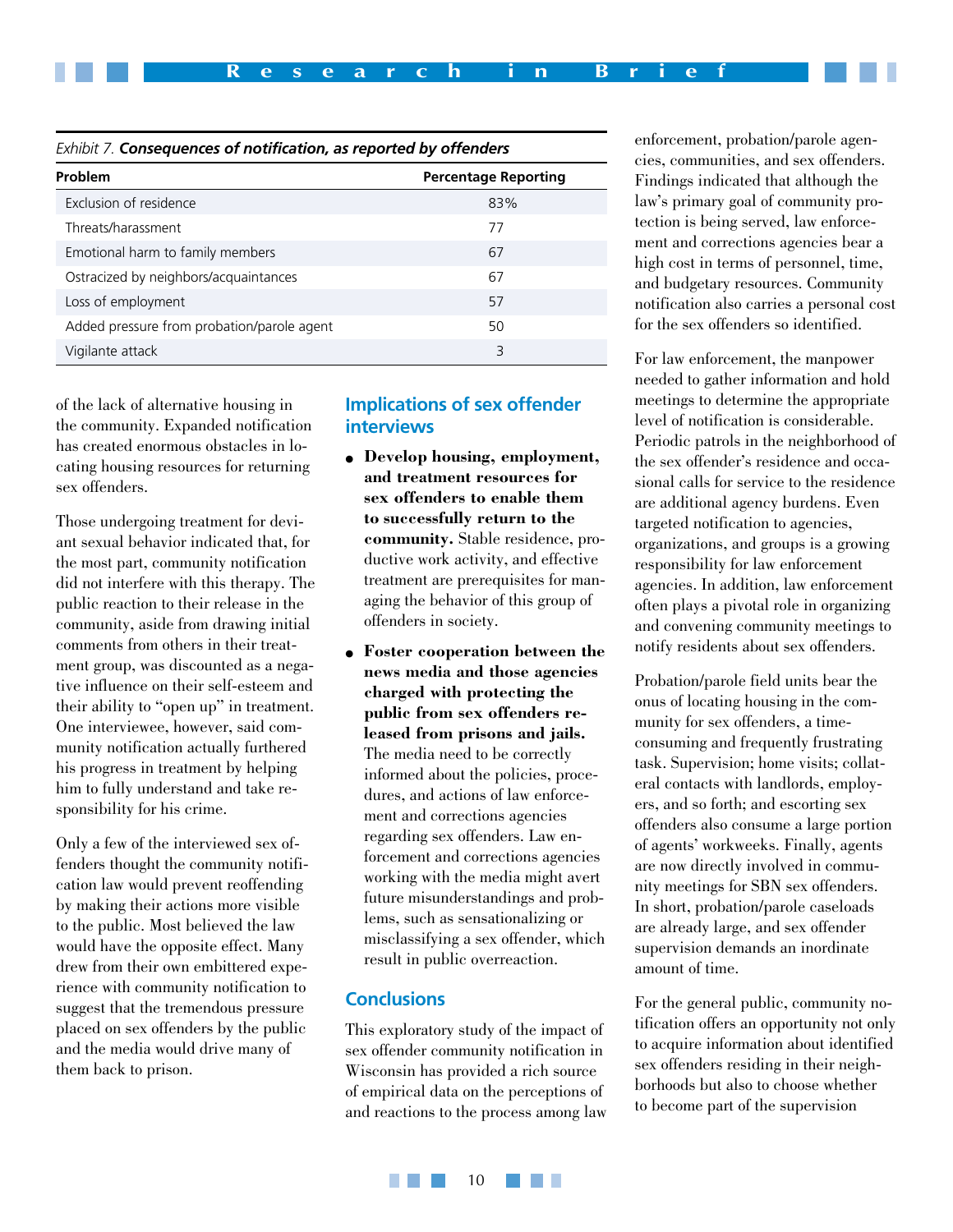| Exhibit 7. Consequences of notification, as reported by offenders |  |
|-------------------------------------------------------------------|--|
|-------------------------------------------------------------------|--|

| Problem                                    | <b>Percentage Reporting</b> |
|--------------------------------------------|-----------------------------|
| Exclusion of residence                     | 83%                         |
| Threats/harassment                         | 77                          |
| Emotional harm to family members           | 67                          |
| Ostracized by neighbors/acquaintances      | 67                          |
| Loss of employment                         | 57                          |
| Added pressure from probation/parole agent | 50                          |
| Vigilante attack                           | 3                           |

of the lack of alternative housing in the community. Expanded notification has created enormous obstacles in locating housing resources for returning sex offenders.

Those undergoing treatment for deviant sexual behavior indicated that, for the most part, community notification did not interfere with this therapy. The public reaction to their release in the community, aside from drawing initial comments from others in their treatment group, was discounted as a negative influence on their self-esteem and their ability to "open up" in treatment. One interviewee, however, said community notification actually furthered his progress in treatment by helping him to fully understand and take responsibility for his crime.

Only a few of the interviewed sex offenders thought the community notification law would prevent reoffending by making their actions more visible to the public. Most believed the law would have the opposite effect. Many drew from their own embittered experience with community notification to suggest that the tremendous pressure placed on sex offenders by the public and the media would drive many of them back to prison.

#### **Implications of sex offender interviews**

- **Develop housing, employment, and treatment resources for sex offenders to enable them to successfully return to the community.** Stable residence, productive work activity, and effective treatment are prerequisites for managing the behavior of this group of offenders in society.
- **Foster cooperation between the news media and those agencies charged with protecting the public from sex offenders released from prisons and jails.** The media need to be correctly informed about the policies, procedures, and actions of law enforcement and corrections agencies regarding sex offenders. Law enforcement and corrections agencies working with the media might avert future misunderstandings and problems, such as sensationalizing or misclassifying a sex offender, which result in public overreaction.

## **Conclusions**

This exploratory study of the impact of sex offender community notification in Wisconsin has provided a rich source of empirical data on the perceptions of and reactions to the process among law enforcement, probation/parole agencies, communities, and sex offenders. Findings indicated that although the law's primary goal of community protection is being served, law enforcement and corrections agencies bear a high cost in terms of personnel, time, and budgetary resources. Community notification also carries a personal cost for the sex offenders so identified.

For law enforcement, the manpower needed to gather information and hold meetings to determine the appropriate level of notification is considerable. Periodic patrols in the neighborhood of the sex offender's residence and occasional calls for service to the residence are additional agency burdens. Even targeted notification to agencies, organizations, and groups is a growing responsibility for law enforcement agencies. In addition, law enforcement often plays a pivotal role in organizing and convening community meetings to notify residents about sex offenders.

Probation/parole field units bear the onus of locating housing in the community for sex offenders, a timeconsuming and frequently frustrating task. Supervision; home visits; collateral contacts with landlords, employers, and so forth; and escorting sex offenders also consume a large portion of agents' workweeks. Finally, agents are now directly involved in community meetings for SBN sex offenders. In short, probation/parole caseloads are already large, and sex offender supervision demands an inordinate amount of time.

For the general public, community notification offers an opportunity not only to acquire information about identified sex offenders residing in their neighborhoods but also to choose whether to become part of the supervision

a a shekara 10